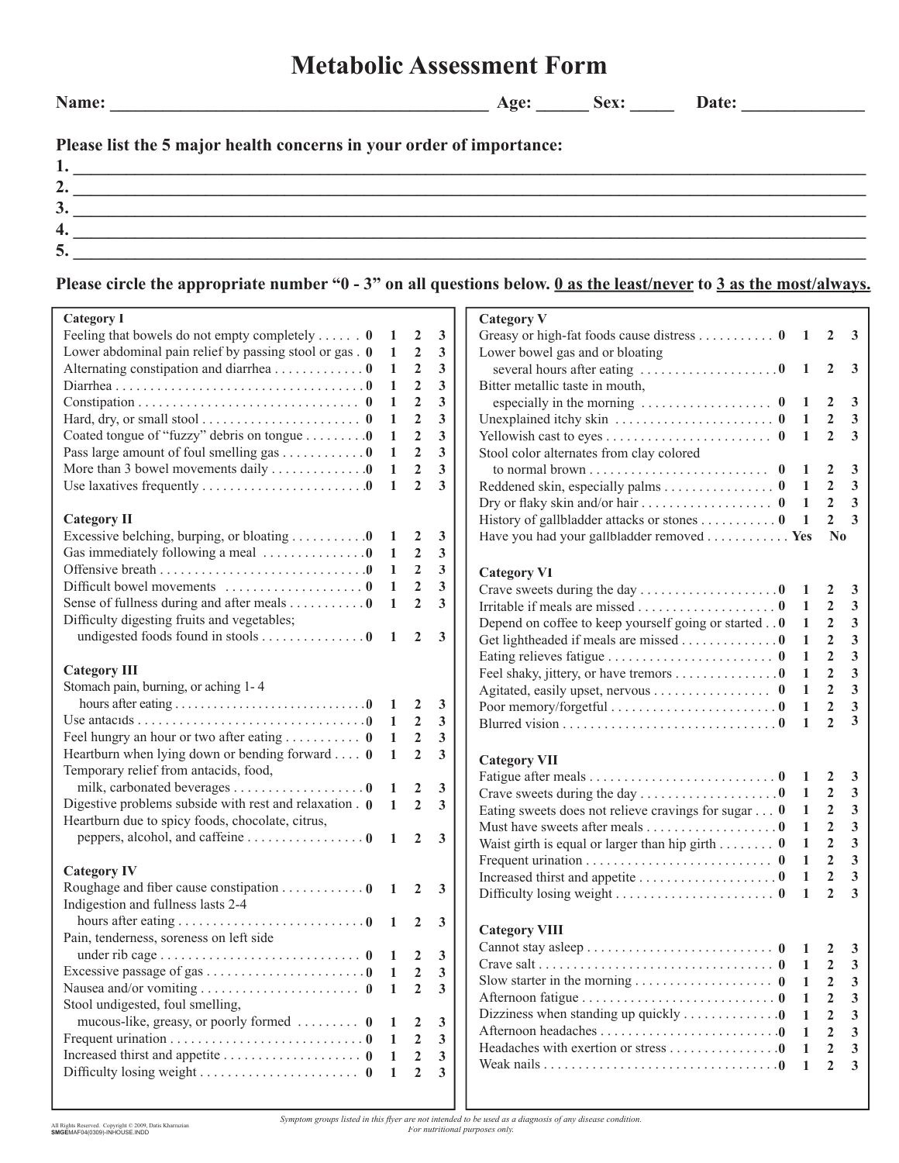## **Metabolic Assessment Form**

**Name: \_\_\_\_\_\_\_\_\_\_\_\_\_\_\_\_\_\_\_\_\_\_\_\_\_\_\_\_\_\_\_\_\_\_\_\_\_\_\_\_\_\_\_ Age: \_\_\_\_\_\_ Sex: \_\_\_\_\_ Date: \_\_\_\_\_\_\_\_\_\_\_\_\_\_** 

## **Please list the 5 major health concerns in your order of importance:**

| -      |  |
|--------|--|
| ັ      |  |
|        |  |
| $\sim$ |  |

## **Please circle the appropriate number "0 - 3" on all questions below. 0 as the least/never to 3 as the most/always.**

| <b>Category I</b>                                                           |                |                  |                         | <b>Category V</b>                                                                                                                                                                                                                                                                        |                  |                         |
|-----------------------------------------------------------------------------|----------------|------------------|-------------------------|------------------------------------------------------------------------------------------------------------------------------------------------------------------------------------------------------------------------------------------------------------------------------------------|------------------|-------------------------|
| Feeling that bowels do not empty completely $0$                             |                | $\mathbf{2}$     | 3                       | Greasy or high-fat foods cause distress 0 $1 \quad 2 \quad 3$                                                                                                                                                                                                                            |                  |                         |
| Lower abdominal pain relief by passing stool or gas . 0                     | -1             | $\boldsymbol{2}$ | 3                       | Lower bowel gas and or bloating                                                                                                                                                                                                                                                          |                  |                         |
| Alternating constipation and diarrhea0                                      | -1             | 2                | 3                       |                                                                                                                                                                                                                                                                                          | 2                |                         |
|                                                                             | -1             | $\mathbf{2}$     | 3                       | Bitter metallic taste in mouth,                                                                                                                                                                                                                                                          |                  |                         |
|                                                                             | -1             | $\overline{2}$   | 3                       |                                                                                                                                                                                                                                                                                          | 2                | - 3                     |
| Hard, dry, or small stool $\dots\dots\dots\dots\dots\dots\dots\dots$        | -1             | $\overline{2}$   | 3                       |                                                                                                                                                                                                                                                                                          | $\overline{2}$   | $\overline{\mathbf{3}}$ |
| Coated tongue of "fuzzy" debris on tongue 0                                 | 1              | $\mathbf{2}$     | 3                       |                                                                                                                                                                                                                                                                                          | $\overline{2}$   | $\overline{\mathbf{3}}$ |
| Pass large amount of foul smelling gas 0                                    | $\mathbf{1}$   | $\overline{2}$   | $\mathbf{3}$            | Stool color alternates from clay colored                                                                                                                                                                                                                                                 |                  |                         |
| More than 3 bowel movements daily 0                                         | 1              | $\overline{2}$   | 3                       |                                                                                                                                                                                                                                                                                          | 2                |                         |
|                                                                             | 1              | $\overline{2}$   | 3                       | Reddened skin, especially palms 0 $1$                                                                                                                                                                                                                                                    | $\overline{2}$   | $\overline{\mathbf{3}}$ |
|                                                                             |                |                  |                         | Dry or flaky skin and/or hair 0 1                                                                                                                                                                                                                                                        | $\overline{2}$   | $\overline{\mathbf{3}}$ |
| <b>Category II</b>                                                          |                |                  |                         | History of gallbladder attacks or stones 0 1                                                                                                                                                                                                                                             | $\overline{2}$   | $\overline{3}$          |
| Excessive belching, burping, or bloating $\dots \dots \dots 0$ 1            |                | $\overline{2}$   | 3                       | Have you had your gallbladder removed ■ Yes                                                                                                                                                                                                                                              |                  | N <sub>0</sub>          |
| Gas immediately following a meal 0                                          | - 1            | $\boldsymbol{2}$ | 3                       |                                                                                                                                                                                                                                                                                          |                  |                         |
|                                                                             | - 1            | $\overline{2}$   | $\mathbf{3}$            | <b>Category VI</b>                                                                                                                                                                                                                                                                       |                  |                         |
|                                                                             | -1             | $\overline{2}$   | 3                       |                                                                                                                                                                                                                                                                                          | 2                | $\mathbf{3}$            |
| Sense of fullness during and after meals $\dots \dots \dots 0$              | $\mathbf{1}$   | $\overline{2}$   | $\mathbf{3}$            |                                                                                                                                                                                                                                                                                          | $\overline{2}$   | $\overline{3}$          |
| Difficulty digesting fruits and vegetables;                                 |                |                  |                         | Depend on coffee to keep yourself going or started 0<br>$\overline{1}$                                                                                                                                                                                                                   | $\overline{2}$   | 3                       |
| undigested foods found in stools 0 $1 \quad 2 \quad 3$                      |                |                  |                         | Get lightheaded if meals are missed 0<br>1                                                                                                                                                                                                                                               | $\overline{2}$   | 3                       |
|                                                                             |                |                  |                         | 1                                                                                                                                                                                                                                                                                        | $\overline{2}$   | $\overline{\mathbf{3}}$ |
| <b>Category III</b>                                                         |                |                  |                         | Feel shaky, jittery, or have tremors 0                                                                                                                                                                                                                                                   | $\overline{2}$   | $\mathbf{3}$            |
| Stomach pain, burning, or aching 1-4                                        |                |                  |                         | $\mathbf{1}$                                                                                                                                                                                                                                                                             | $\overline{2}$   | $\overline{\mathbf{3}}$ |
|                                                                             |                |                  | $\mathbf{3}$            | Agitated, easily upset, nervous 0<br>$\mathbf{1}$                                                                                                                                                                                                                                        | $\overline{2}$   | $\mathbf{3}$            |
|                                                                             |                | <sup>2</sup>     | $\mathbf{3}$            | 1                                                                                                                                                                                                                                                                                        | $\overline{2}$   | 3                       |
|                                                                             |                | $\overline{2}$   | 3                       | 1                                                                                                                                                                                                                                                                                        |                  |                         |
| Heartburn when lying down or bending forward $\theta$                       | $\mathbf{1}$   | $\overline{2}$   | 3                       |                                                                                                                                                                                                                                                                                          |                  |                         |
| Temporary relief from antacids, food,                                       |                |                  |                         | <b>Category VII</b>                                                                                                                                                                                                                                                                      |                  |                         |
| milk, carbonated beverages 0 1 2                                            |                |                  | $\mathbf{3}$            |                                                                                                                                                                                                                                                                                          | 2                | $\mathbf{3}$            |
| Digestive problems subside with rest and relaxation $\theta$ 1 2            |                |                  | $\overline{\mathbf{3}}$ |                                                                                                                                                                                                                                                                                          | 2                | $\mathbf{3}$            |
| Heartburn due to spicy foods, chocolate, citrus,                            |                |                  |                         | Eating sweets does not relieve cravings for sugar $\dots$ 0 1                                                                                                                                                                                                                            | $\overline{2}$   | $\mathbf{3}$            |
| peppers, alcohol, and caffeine 0 $1 \quad 2$                                |                |                  | $\mathbf{3}$            | Must have sweets after meals 0 1                                                                                                                                                                                                                                                         | $\boldsymbol{2}$ | $\overline{\mathbf{3}}$ |
|                                                                             |                |                  |                         | Waist girth is equal or larger than hip girth 0<br>$\blacksquare$                                                                                                                                                                                                                        | $\overline{2}$   | $\mathbf{3}$            |
| <b>Category IV</b>                                                          |                |                  |                         | $\mathbf{1}$                                                                                                                                                                                                                                                                             | $\mathbf{2}$     | $\mathbf{3}$            |
| Roughage and fiber cause constipation $\ldots \ldots \ldots \ldots 0$ 1 2 3 |                |                  |                         | $\mathbf{1}$                                                                                                                                                                                                                                                                             | $\overline{2}$   | $\overline{\mathbf{3}}$ |
| Indigestion and fullness lasts 2-4                                          |                |                  |                         | $\mathbf{1}$                                                                                                                                                                                                                                                                             | $\overline{2}$   | $\overline{\mathbf{3}}$ |
|                                                                             |                |                  |                         |                                                                                                                                                                                                                                                                                          |                  |                         |
| Pain, tenderness, soreness on left side                                     |                |                  |                         | <b>Category VIII</b>                                                                                                                                                                                                                                                                     |                  |                         |
|                                                                             |                |                  |                         |                                                                                                                                                                                                                                                                                          |                  |                         |
|                                                                             |                |                  | $\mathbf{3}$            | Crave salt $\ldots$ $\ldots$ $\ldots$ $\ldots$ $\ldots$ $\ldots$ $\ldots$ $\ldots$ $\ldots$ $\ldots$ $\ldots$ $\ldots$ $\ldots$ $\ldots$ $\ldots$ $\ldots$ $\ldots$ $\ldots$ $\ldots$ $\ldots$ $\ldots$ $\ldots$ $\ldots$ $\ldots$ $\ldots$ $\ldots$ $\ldots$ $\ldots$ $\ldots$ $\ldots$ |                  |                         |
|                                                                             |                | 2                | 3                       |                                                                                                                                                                                                                                                                                          | 2                | 3                       |
|                                                                             | $\overline{1}$ | $\overline{2}$   | 3                       |                                                                                                                                                                                                                                                                                          |                  | 3                       |
| Stool undigested, foul smelling,                                            |                |                  |                         | Dizziness when standing up quickly $\dots \dots \dots \dots \dots$<br>-1                                                                                                                                                                                                                 | 2                | 3                       |
| mucous-like, greasy, or poorly formed  0                                    |                | 2                | $\mathbf{3}$            |                                                                                                                                                                                                                                                                                          | $\mathbf{2}$     | 3                       |
|                                                                             |                | $\overline{2}$   | $\mathbf{3}$            | Headaches with exertion or stress 0                                                                                                                                                                                                                                                      |                  | 3                       |
| Increased thirst and appetite 0                                             | -1             | $\overline{2}$   | 3                       | -1                                                                                                                                                                                                                                                                                       | $\mathbf{2}$     | 3                       |
|                                                                             | -1             | $\overline{2}$   | 3                       |                                                                                                                                                                                                                                                                                          |                  |                         |
|                                                                             |                |                  |                         |                                                                                                                                                                                                                                                                                          |                  |                         |